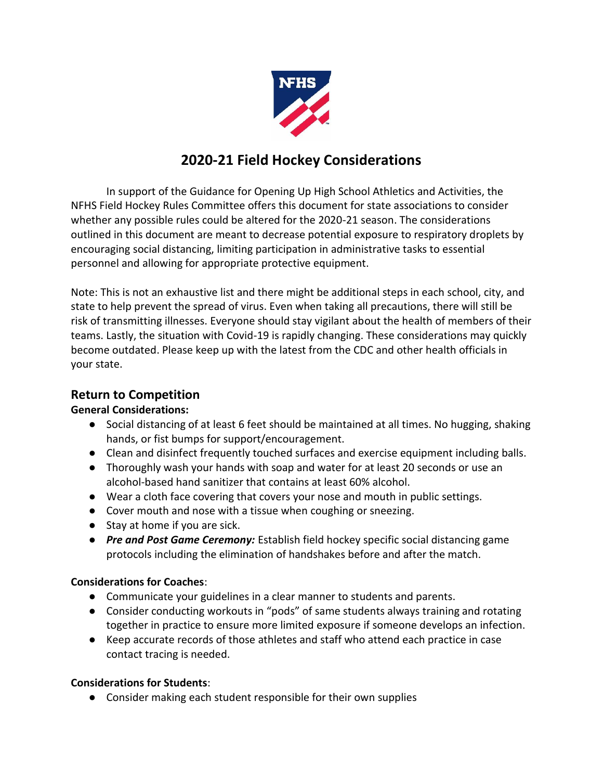

# **2020-21 Field Hockey Considerations**

In support of the Guidance for Opening Up High School Athletics and Activities, the NFHS Field Hockey Rules Committee offers this document for state associations to consider whether any possible rules could be altered for the 2020-21 season. The considerations outlined in this document are meant to decrease potential exposure to respiratory droplets by encouraging social distancing, limiting participation in administrative tasks to essential personnel and allowing for appropriate protective equipment.

Note: This is not an exhaustive list and there might be additional steps in each school, city, and state to help prevent the spread of virus. Even when taking all precautions, there will still be risk of transmitting illnesses. Everyone should stay vigilant about the health of members of their teams. Lastly, the situation with Covid-19 is rapidly changing. These considerations may quickly become outdated. Please keep up with the latest from the CDC and other health officials in your state.

## **Return to Competition**

### **General Considerations:**

- Social distancing of at least 6 feet should be maintained at all times. No hugging, shaking hands, or fist bumps for support/encouragement.
- Clean and disinfect frequently touched surfaces and exercise equipment including balls.
- Thoroughly wash your hands with soap and water for at least 20 seconds or use an alcohol-based hand sanitizer that contains at least 60% alcohol.
- Wear a cloth face covering that covers your nose and mouth in public settings.
- Cover mouth and nose with a tissue when coughing or sneezing.
- Stay at home if you are sick.
- *Pre and Post Game Ceremony:* Establish field hockey specific social distancing game protocols including the elimination of handshakes before and after the match.

### **Considerations for Coaches**:

- Communicate your guidelines in a clear manner to students and parents.
- Consider conducting workouts in "pods" of same students always training and rotating together in practice to ensure more limited exposure if someone develops an infection.
- Keep accurate records of those athletes and staff who attend each practice in case contact tracing is needed.

### **Considerations for Students**:

● Consider making each student responsible for their own supplies